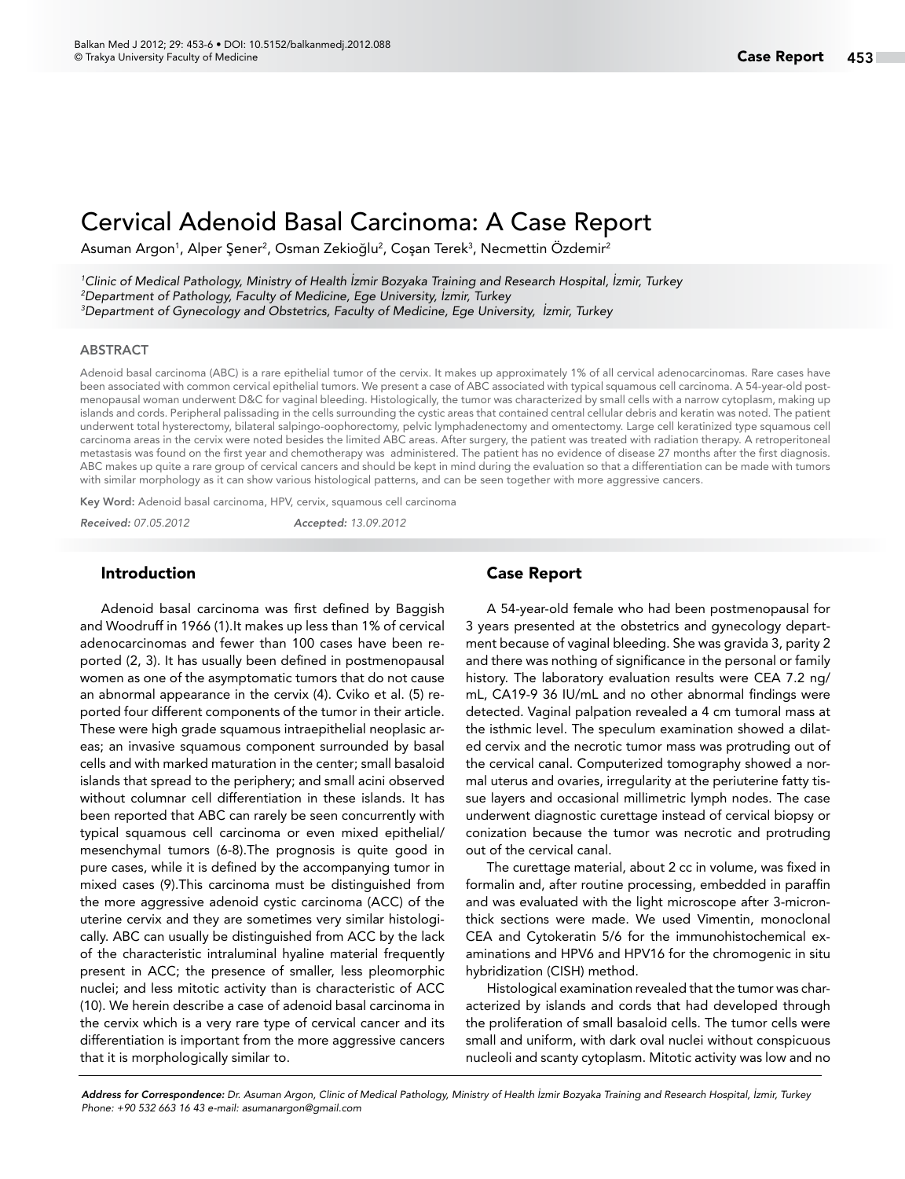# Cervical Adenoid Basal Carcinoma: A Case Report

Asuman Argon<sup>1</sup>, Alper Şener<sup>2</sup>, Osman Zekioğlu<sup>2</sup>, Coşan Terek<sup>3</sup>, Necmettin Özdemir<sup>2</sup>

*1 Clinic of Medical Pathology, Ministry of Health İzmir Bozyaka Training and Research Hospital, İzmir, Turkey 2 Department of Pathology, Faculty of Medicine, Ege University, İzmir, Turkey 3 Department of Gynecology and Obstetrics, Faculty of Medicine, Ege University, İzmir, Turkey*

#### ABSTRACT

Adenoid basal carcinoma (ABC) is a rare epithelial tumor of the cervix. It makes up approximately 1% of all cervical adenocarcinomas. Rare cases have been associated with common cervical epithelial tumors. We present a case of ABC associated with typical squamous cell carcinoma. A 54-year-old postmenopausal woman underwent D&C for vaginal bleeding. Histologically, the tumor was characterized by small cells with a narrow cytoplasm, making up islands and cords. Peripheral palissading in the cells surrounding the cystic areas that contained central cellular debris and keratin was noted. The patient underwent total hysterectomy, bilateral salpingo-oophorectomy, pelvic lymphadenectomy and omentectomy. Large cell keratinized type squamous cell carcinoma areas in the cervix were noted besides the limited ABC areas. After surgery, the patient was treated with radiation therapy. A retroperitoneal metastasis was found on the first year and chemotherapy was administered. The patient has no evidence of disease 27 months after the first diagnosis. ABC makes up quite a rare group of cervical cancers and should be kept in mind during the evaluation so that a differentiation can be made with tumors with similar morphology as it can show various histological patterns, and can be seen together with more aggressive cancers.

Key Word: Adenoid basal carcinoma, HPV, cervix, squamous cell carcinoma

*Received: 07.05.2012 Accepted: 13.09.2012*

#### Introduction

Adenoid basal carcinoma was first defined by Baggish and Woodruff in 1966 (1).It makes up less than 1% of cervical adenocarcinomas and fewer than 100 cases have been reported (2, 3). It has usually been defined in postmenopausal women as one of the asymptomatic tumors that do not cause an abnormal appearance in the cervix (4). Cviko et al. (5) reported four different components of the tumor in their article. These were high grade squamous intraepithelial neoplasic areas; an invasive squamous component surrounded by basal cells and with marked maturation in the center; small basaloid islands that spread to the periphery; and small acini observed without columnar cell differentiation in these islands. It has been reported that ABC can rarely be seen concurrently with typical squamous cell carcinoma or even mixed epithelial/ mesenchymal tumors (6-8).The prognosis is quite good in pure cases, while it is defined by the accompanying tumor in mixed cases (9).This carcinoma must be distinguished from the more aggressive adenoid cystic carcinoma (ACC) of the uterine cervix and they are sometimes very similar histologically. ABC can usually be distinguished from ACC by the lack of the characteristic intraluminal hyaline material frequently present in ACC; the presence of smaller, less pleomorphic nuclei; and less mitotic activity than is characteristic of ACC (10). We herein describe a case of adenoid basal carcinoma in the cervix which is a very rare type of cervical cancer and its differentiation is important from the more aggressive cancers that it is morphologically similar to.

### Case Report

A 54-year-old female who had been postmenopausal for 3 years presented at the obstetrics and gynecology department because of vaginal bleeding. She was gravida 3, parity 2 and there was nothing of significance in the personal or family history. The laboratory evaluation results were CEA 7.2 ng/ mL, CA19-9 36 IU/mL and no other abnormal findings were detected. Vaginal palpation revealed a 4 cm tumoral mass at the isthmic level. The speculum examination showed a dilated cervix and the necrotic tumor mass was protruding out of the cervical canal. Computerized tomography showed a normal uterus and ovaries, irregularity at the periuterine fatty tissue layers and occasional millimetric lymph nodes. The case underwent diagnostic curettage instead of cervical biopsy or conization because the tumor was necrotic and protruding out of the cervical canal.

The curettage material, about 2 cc in volume, was fixed in formalin and, after routine processing, embedded in paraffin and was evaluated with the light microscope after 3-micronthick sections were made. We used Vimentin, monoclonal CEA and Cytokeratin 5/6 for the immunohistochemical examinations and HPV6 and HPV16 for the chromogenic in situ hybridization (CISH) method.

Histological examination revealed that the tumor was characterized by islands and cords that had developed through the proliferation of small basaloid cells. The tumor cells were small and uniform, with dark oval nuclei without conspicuous nucleoli and scanty cytoplasm. Mitotic activity was low and no

*Address for Correspondence: Dr. Asuman Argon, Clinic of Medical Pathology, Ministry of Health İzmir Bozyaka Training and Research Hospital, İzmir, Turkey Phone: +90 532 663 16 43 e-mail: asumanargon@gmail.com*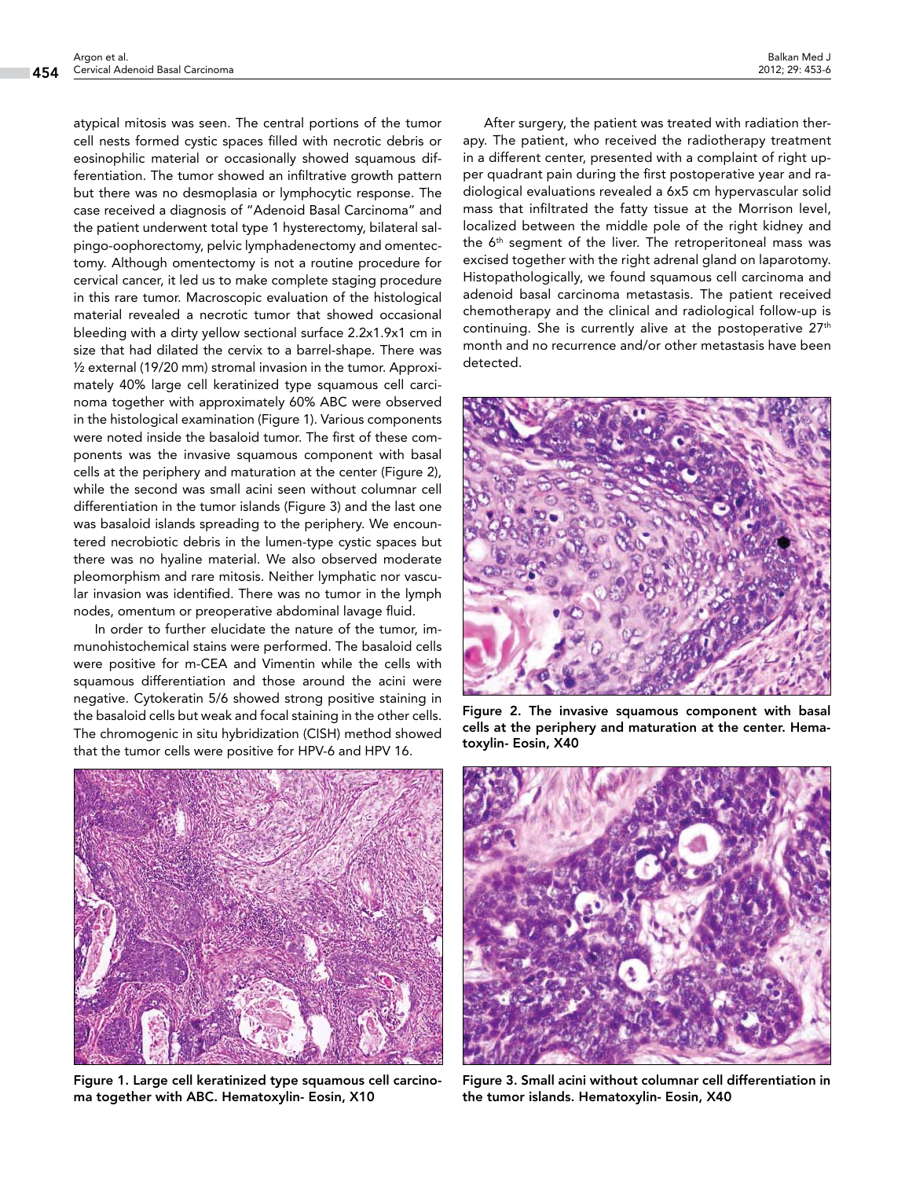atypical mitosis was seen. The central portions of the tumor cell nests formed cystic spaces filled with necrotic debris or eosinophilic material or occasionally showed squamous differentiation. The tumor showed an infiltrative growth pattern but there was no desmoplasia or lymphocytic response. The case received a diagnosis of "Adenoid Basal Carcinoma" and the patient underwent total type 1 hysterectomy, bilateral salpingo-oophorectomy, pelvic lymphadenectomy and omentectomy. Although omentectomy is not a routine procedure for cervical cancer, it led us to make complete staging procedure in this rare tumor. Macroscopic evaluation of the histological material revealed a necrotic tumor that showed occasional bleeding with a dirty yellow sectional surface 2.2x1.9x1 cm in size that had dilated the cervix to a barrel-shape. There was ½ external (19/20 mm) stromal invasion in the tumor. Approximately 40% large cell keratinized type squamous cell carcinoma together with approximately 60% ABC were observed in the histological examination (Figure 1). Various components were noted inside the basaloid tumor. The first of these components was the invasive squamous component with basal cells at the periphery and maturation at the center (Figure 2), while the second was small acini seen without columnar cell differentiation in the tumor islands (Figure 3) and the last one was basaloid islands spreading to the periphery. We encountered necrobiotic debris in the lumen-type cystic spaces but there was no hyaline material. We also observed moderate pleomorphism and rare mitosis. Neither lymphatic nor vascular invasion was identified. There was no tumor in the lymph nodes, omentum or preoperative abdominal lavage fluid.

In order to further elucidate the nature of the tumor, immunohistochemical stains were performed. The basaloid cells were positive for m-CEA and Vimentin while the cells with squamous differentiation and those around the acini were negative. Cytokeratin 5/6 showed strong positive staining in the basaloid cells but weak and focal staining in the other cells. The chromogenic in situ hybridization (CISH) method showed that the tumor cells were positive for HPV-6 and HPV 16.



Figure 1. Large cell keratinized type squamous cell carcinoma together with ABC. Hematoxylin- Eosin, X10

After surgery, the patient was treated with radiation therapy. The patient, who received the radiotherapy treatment in a different center, presented with a complaint of right upper quadrant pain during the first postoperative year and radiological evaluations revealed a 6x5 cm hypervascular solid mass that infiltrated the fatty tissue at the Morrison level, localized between the middle pole of the right kidney and the 6th segment of the liver. The retroperitoneal mass was excised together with the right adrenal gland on laparotomy. Histopathologically, we found squamous cell carcinoma and adenoid basal carcinoma metastasis. The patient received chemotherapy and the clinical and radiological follow-up is continuing. She is currently alive at the postoperative  $27<sup>th</sup>$ month and no recurrence and/or other metastasis have been detected.



Figure 2. The invasive squamous component with basal cells at the periphery and maturation at the center. Hematoxylin- Eosin, X40



Figure 3. Small acini without columnar cell differentiation in the tumor islands. Hematoxylin- Eosin, X40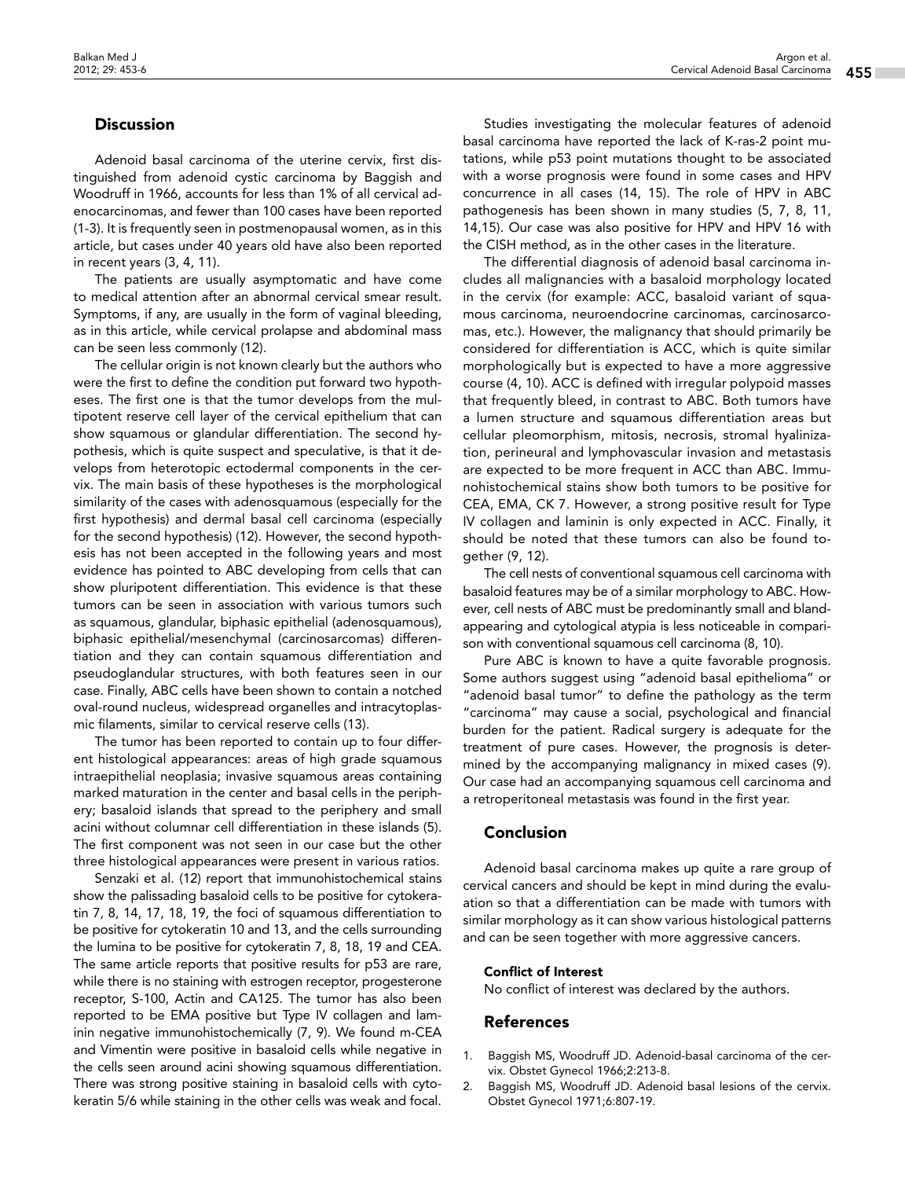## **Discussion**

Adenoid basal carcinoma of the uterine cervix, first distinguished from adenoid cystic carcinoma by Baggish and Woodruff in 1966, accounts for less than 1% of all cervical adenocarcinomas, and fewer than 100 cases have been reported (1-3). It is frequently seen in postmenopausal women, as in this article, but cases under 40 years old have also been reported in recent years (3, 4, 11).

The patients are usually asymptomatic and have come to medical attention after an abnormal cervical smear result. Symptoms, if any, are usually in the form of vaginal bleeding, as in this article, while cervical prolapse and abdominal mass can be seen less commonly (12).

The cellular origin is not known clearly but the authors who were the first to define the condition put forward two hypotheses. The first one is that the tumor develops from the multipotent reserve cell layer of the cervical epithelium that can show squamous or glandular differentiation. The second hypothesis, which is quite suspect and speculative, is that it develops from heterotopic ectodermal components in the cervix. The main basis of these hypotheses is the morphological similarity of the cases with adenosquamous (especially for the first hypothesis) and dermal basal cell carcinoma (especially for the second hypothesis) (12). However, the second hypothesis has not been accepted in the following years and most evidence has pointed to ABC developing from cells that can show pluripotent differentiation. This evidence is that these tumors can be seen in association with various tumors such as squamous, glandular, biphasic epithelial (adenosquamous), biphasic epithelial/mesenchymal (carcinosarcomas) differentiation and they can contain squamous differentiation and pseudoglandular structures, with both features seen in our case. Finally, ABC cells have been shown to contain a notched oval-round nucleus, widespread organelles and intracytoplasmic filaments, similar to cervical reserve cells (13).

The tumor has been reported to contain up to four different histological appearances: areas of high grade squamous intraepithelial neoplasia; invasive squamous areas containing marked maturation in the center and basal cells in the periphery; basaloid islands that spread to the periphery and small acini without columnar cell differentiation in these islands (5). The first component was not seen in our case but the other three histological appearances were present in various ratios.

Senzaki et al. (12) report that immunohistochemical stains show the palissading basaloid cells to be positive for cytokeratin 7, 8, 14, 17, 18, 19, the foci of squamous differentiation to be positive for cytokeratin 10 and 13, and the cells surrounding the lumina to be positive for cytokeratin 7, 8, 18, 19 and CEA. The same article reports that positive results for p53 are rare, while there is no staining with estrogen receptor, progesterone receptor, S-100, Actin and CA125. The tumor has also been reported to be EMA positive but Type IV collagen and laminin negative immunohistochemically (7, 9). We found m-CEA and Vimentin were positive in basaloid cells while negative in the cells seen around acini showing squamous differentiation. There was strong positive staining in basaloid cells with cytokeratin 5/6 while staining in the other cells was weak and focal.

Studies investigating the molecular features of adenoid basal carcinoma have reported the lack of K-ras-2 point mutations, while p53 point mutations thought to be associated with a worse prognosis were found in some cases and HPV concurrence in all cases (14, 15). The role of HPV in ABC pathogenesis has been shown in many studies (5, 7, 8, 11, 14,15). Our case was also positive for HPV and HPV 16 with the CISH method, as in the other cases in the literature.

The differential diagnosis of adenoid basal carcinoma includes all malignancies with a basaloid morphology located in the cervix (for example: ACC, basaloid variant of squamous carcinoma, neuroendocrine carcinomas, carcinosarcomas, etc.). However, the malignancy that should primarily be considered for differentiation is ACC, which is quite similar morphologically but is expected to have a more aggressive course (4, 10). ACC is defined with irregular polypoid masses that frequently bleed, in contrast to ABC. Both tumors have a lumen structure and squamous differentiation areas but cellular pleomorphism, mitosis, necrosis, stromal hyalinization, perineural and lymphovascular invasion and metastasis are expected to be more frequent in ACC than ABC. Immunohistochemical stains show both tumors to be positive for CEA, EMA, CK 7. However, a strong positive result for Type IV collagen and laminin is only expected in ACC. Finally, it should be noted that these tumors can also be found together (9, 12).

The cell nests of conventional squamous cell carcinoma with basaloid features may be of a similar morphology to ABC. However, cell nests of ABC must be predominantly small and blandappearing and cytological atypia is less noticeable in comparison with conventional squamous cell carcinoma (8, 10).

Pure ABC is known to have a quite favorable prognosis. Some authors suggest using "adenoid basal epithelioma" or "adenoid basal tumor" to define the pathology as the term "carcinoma" may cause a social, psychological and financial burden for the patient. Radical surgery is adequate for the treatment of pure cases. However, the prognosis is determined by the accompanying malignancy in mixed cases (9). Our case had an accompanying squamous cell carcinoma and a retroperitoneal metastasis was found in the first year.

### Conclusion

Adenoid basal carcinoma makes up quite a rare group of cervical cancers and should be kept in mind during the evaluation so that a differentiation can be made with tumors with similar morphology as it can show various histological patterns and can be seen together with more aggressive cancers.

#### Conflict of Interest

No conflict of interest was declared by the authors.

## References

- 1. Baggish MS, Woodruff JD. Adenoid-basal carcinoma of the cervix. Obstet Gynecol 1966;2:213-8.
- 2. Baggish MS, Woodruff JD. Adenoid basal lesions of the cervix. Obstet Gynecol 1971;6:807-19.